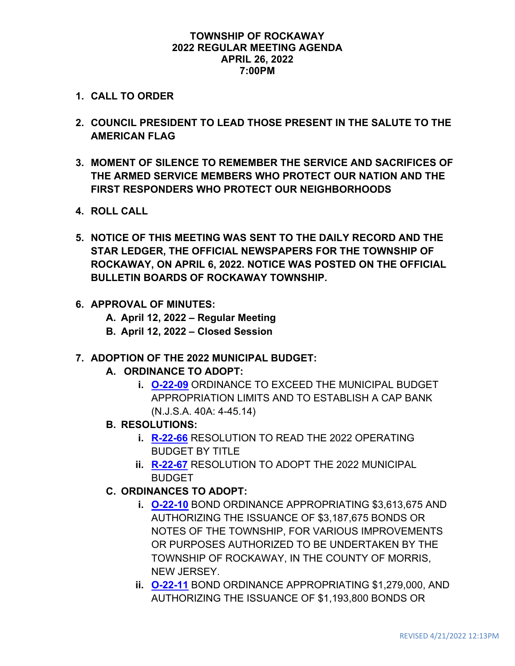#### **TOWNSHIP OF ROCKAWAY 2022 REGULAR MEETING AGENDA APRIL 26, 2022 7:00PM**

- **1. CALL TO ORDER**
- **2. COUNCIL PRESIDENT TO LEAD THOSE PRESENT IN THE SALUTE TO THE AMERICAN FLAG**
- **3. MOMENT OF SILENCE TO REMEMBER THE SERVICE AND SACRIFICES OF THE ARMED SERVICE MEMBERS WHO PROTECT OUR NATION AND THE FIRST RESPONDERS WHO PROTECT OUR NEIGHBORHOODS**
- **4. ROLL CALL**
- **5. NOTICE OF THIS MEETING WAS SENT TO THE DAILY RECORD AND THE STAR LEDGER, THE OFFICIAL NEWSPAPERS FOR THE TOWNSHIP OF ROCKAWAY, ON APRIL 6, 2022. NOTICE WAS POSTED ON THE OFFICIAL BULLETIN BOARDS OF ROCKAWAY TOWNSHIP.**
- **6. APPROVAL OF MINUTES:**
	- **A. April 12, 2022 – Regular Meeting**
	- **B. April 12, 2022 – Closed Session**
- **7. ADOPTION OF THE 2022 MUNICIPAL BUDGET:**
	- **A. ORDINANCE TO ADOPT:**
		- **i. [O-22-09](https://www.rockawaytownship.org/DocumentCenter/View/8255/O-22-09-2022-COLA-and-CAP-Bank-Ordinance)** ORDINANCE TO EXCEED THE MUNICIPAL BUDGET APPROPRIATION LIMITS AND TO ESTABLISH A CAP BANK (N.J.S.A. 40A: 4-45.14)
	- **B. RESOLUTIONS:**
		- **i. [R-22-66](https://www.rockawaytownship.org/DocumentCenter/View/8332/R-22-66-Resolution-to-Read-Budget-by-Title)** RESOLUTION TO READ THE 2022 OPERATING **BUDGET BY TITLE**
		- **ii. [R-22-67](https://www.rockawaytownship.org/DocumentCenter/View/8333/R-22-67-Resolution-to-Adopt-2022-Budget-R-22-67)** RESOLUTION TO ADOPT THE 2022 MUNICIPAL BUDGET
	- **C. ORDINANCES TO ADOPT:**
		- **i. [O-22-10](https://www.rockawaytownship.org/DocumentCenter/View/8253/O-22-10-Rockaway---2022-Various-Purpose-Bond-Ordinance-NO-ATTACHMENTS)** BOND ORDINANCE APPROPRIATING \$3,613,675 AND AUTHORIZING THE ISSUANCE OF \$3,187,675 BONDS OR NOTES OF THE TOWNSHIP, FOR VARIOUS IMPROVEMENTS OR PURPOSES AUTHORIZED TO BE UNDERTAKEN BY THE TOWNSHIP OF ROCKAWAY, IN THE COUNTY OF MORRIS, NEW JERSEY.
		- **ii. [O-22-11](https://www.rockawaytownship.org/DocumentCenter/View/8254/O-22-11-Rockaway---2022-Water-Utility-Various-Purpose-Bond-Ordinance-NO-ATTACHMENTSdoc)** BOND ORDINANCE APPROPRIATING \$1,279,000, AND AUTHORIZING THE ISSUANCE OF \$1,193,800 BONDS OR